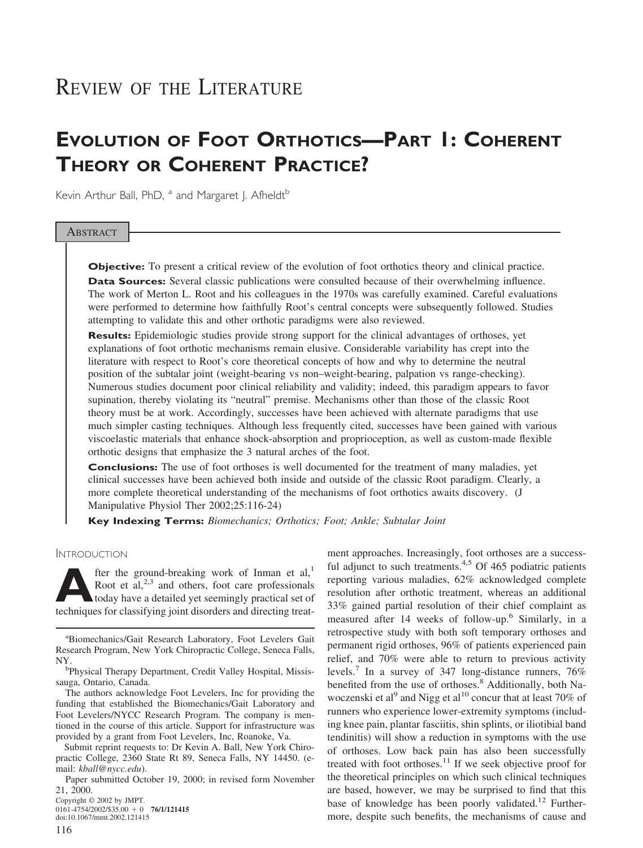# REVIEW OF THE LITERATURE

# **EVOLUTION OF FOOT ORTHOTICS—PART 1: COHERENT THEORY OR COHERENT PRACTICE?**

Kevin Arthur Ball, PhD, <sup>a</sup> and Margaret J. Afheldt<sup>b</sup>

### ABSTRACT

**Objective:** To present a critical review of the evolution of foot orthotics theory and clinical practice. **Data Sources:** Several classic publications were consulted because of their overwhelming influence. The work of Merton L. Root and his colleagues in the 1970s was carefully examined. Careful evaluations were performed to determine how faithfully Root's central concepts were subsequently followed. Studies attempting to validate this and other orthotic paradigms were also reviewed.

**Results:** Epidemiologic studies provide strong support for the clinical advantages of orthoses, yet explanations of foot orthotic mechanisms remain elusive. Considerable variability has crept into the literature with respect to Root's core theoretical concepts of how and why to determine the neutral position of the subtalar joint (weight-bearing vs non–weight-bearing, palpation vs range-checking). Numerous studies document poor clinical reliability and validity; indeed, this paradigm appears to favor supination, thereby violating its "neutral" premise. Mechanisms other than those of the classic Root theory must be at work. Accordingly, successes have been achieved with alternate paradigms that use much simpler casting techniques. Although less frequently cited, successes have been gained with various viscoelastic materials that enhance shock-absorption and proprioception, as well as custom-made flexible orthotic designs that emphasize the 3 natural arches of the foot.

**Conclusions:** The use of foot orthoses is well documented for the treatment of many maladies, yet clinical successes have been achieved both inside and outside of the classic Root paradigm. Clearly, a more complete theoretical understanding of the mechanisms of foot orthotics awaits discovery. (J Manipulative Physiol Ther 2002;25:116-24)

**Key Indexing Terms:** *Biomechanics; Orthotics; Foot; Ankle; Subtalar Joint*

INTRODUCTION

**A** fter the ground-breaking work of Inman et al,<sup>1</sup> Root et al,<sup>2,3</sup> and others, foot care professionals today have a detailed yet seemingly practical set of techniques for classifying joint disorders and directing treat-Root et  $al$ ,<sup>2,3</sup> and others, foot care professionals today have a detailed yet seemingly practical set of techniques for classifying joint disorders and directing treat-

The authors acknowledge Foot Levelers, Inc for providing the funding that established the Biomechanics/Gait Laboratory and Foot Levelers/NYCC Research Program. The company is mentioned in the course of this article. Support for infrastructure was provided by a grant from Foot Levelers, Inc, Roanoke, Va.

Submit reprint requests to: Dr Kevin A. Ball, New York Chiropractic College, 2360 State Rt 89, Seneca Falls, NY 14450. (email: *kball@nycc.edu*).

Paper submitted October 19, 2000; in revised form November 21, 2000.

Copyright © 2002 by JMPT.  $0161-4754/2002/835.00 + 0$  **76/1/121415** doi:10.1067/mmt.2002.121415

ment approaches. Increasingly, foot orthoses are a successful adjunct to such treatments. $4.5$  Of 465 podiatric patients reporting various maladies, 62% acknowledged complete resolution after orthotic treatment, whereas an additional 33% gained partial resolution of their chief complaint as measured after 14 weeks of follow-up.<sup>6</sup> Similarly, in a retrospective study with both soft temporary orthoses and permanent rigid orthoses, 96% of patients experienced pain relief, and 70% were able to return to previous activity levels.7 In a survey of 347 long-distance runners, 76% benefited from the use of orthoses.<sup>8</sup> Additionally, both Nawoczenski et al<sup>9</sup> and Nigg et al<sup>10</sup> concur that at least 70% of runners who experience lower-extremity symptoms (including knee pain, plantar fasciitis, shin splints, or iliotibial band tendinitis) will show a reduction in symptoms with the use of orthoses. Low back pain has also been successfully treated with foot orthoses. $11$  If we seek objective proof for the theoretical principles on which such clinical techniques are based, however, we may be surprised to find that this base of knowledge has been poorly validated.<sup>12</sup> Furthermore, despite such benefits, the mechanisms of cause and

a Biomechanics/Gait Research Laboratory, Foot Levelers Gait Research Program, New York Chiropractic College, Seneca Falls, NY.

<sup>&</sup>lt;sup>b</sup>Physical Therapy Department, Credit Valley Hospital, Mississauga, Ontario, Canada.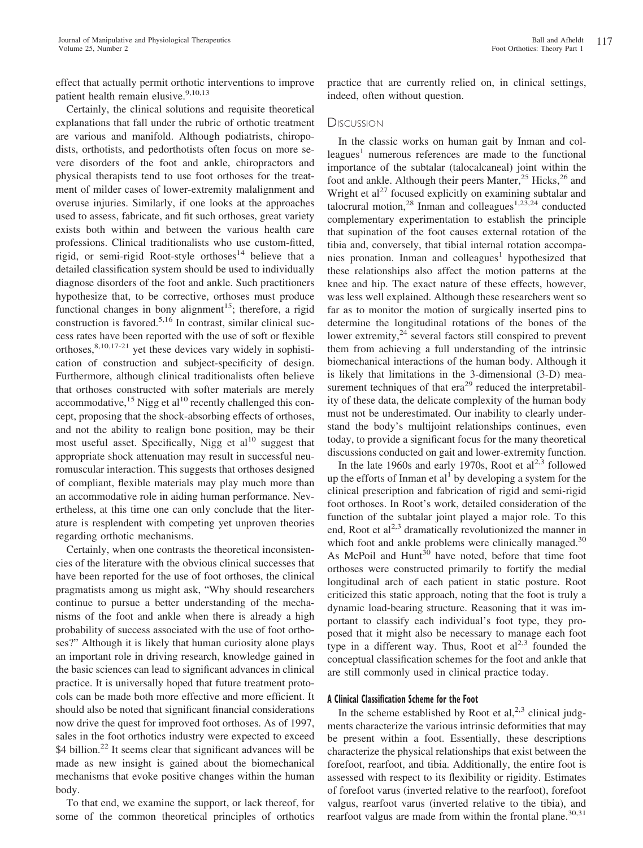effect that actually permit orthotic interventions to improve patient health remain elusive.<sup>9,10,13</sup>

Certainly, the clinical solutions and requisite theoretical explanations that fall under the rubric of orthotic treatment are various and manifold. Although podiatrists, chiropodists, orthotists, and pedorthotists often focus on more severe disorders of the foot and ankle, chiropractors and physical therapists tend to use foot orthoses for the treatment of milder cases of lower-extremity malalignment and overuse injuries. Similarly, if one looks at the approaches used to assess, fabricate, and fit such orthoses, great variety exists both within and between the various health care professions. Clinical traditionalists who use custom-fitted, rigid, or semi-rigid Root-style orthoses<sup>14</sup> believe that a detailed classification system should be used to individually diagnose disorders of the foot and ankle. Such practitioners hypothesize that, to be corrective, orthoses must produce functional changes in bony alignment<sup>15</sup>; therefore, a rigid construction is favored.5,16 In contrast, similar clinical success rates have been reported with the use of soft or flexible orthoses,<sup>8,10,17-21</sup> yet these devices vary widely in sophistication of construction and subject-specificity of design. Furthermore, although clinical traditionalists often believe that orthoses constructed with softer materials are merely accommodative,  $^{15}$  Nigg et al<sup>10</sup> recently challenged this concept, proposing that the shock-absorbing effects of orthoses, and not the ability to realign bone position, may be their most useful asset. Specifically, Nigg et  $al^{10}$  suggest that appropriate shock attenuation may result in successful neuromuscular interaction. This suggests that orthoses designed of compliant, flexible materials may play much more than an accommodative role in aiding human performance. Nevertheless, at this time one can only conclude that the literature is resplendent with competing yet unproven theories regarding orthotic mechanisms.

Certainly, when one contrasts the theoretical inconsistencies of the literature with the obvious clinical successes that have been reported for the use of foot orthoses, the clinical pragmatists among us might ask, "Why should researchers continue to pursue a better understanding of the mechanisms of the foot and ankle when there is already a high probability of success associated with the use of foot orthoses?" Although it is likely that human curiosity alone plays an important role in driving research, knowledge gained in the basic sciences can lead to significant advances in clinical practice. It is universally hoped that future treatment protocols can be made both more effective and more efficient. It should also be noted that significant financial considerations now drive the quest for improved foot orthoses. As of 1997, sales in the foot orthotics industry were expected to exceed  $$4$  billion.<sup>22</sup> It seems clear that significant advances will be made as new insight is gained about the biomechanical mechanisms that evoke positive changes within the human body.

To that end, we examine the support, or lack thereof, for some of the common theoretical principles of orthotics practice that are currently relied on, in clinical settings, indeed, often without question.

#### **DISCUSSION**

In the classic works on human gait by Inman and col $leq<sup>1</sup>$  numerous references are made to the functional importance of the subtalar (talocalcaneal) joint within the foot and ankle. Although their peers Manter, $25$  Hicks,  $26$  and Wright et  $al^{27}$  focused explicitly on examining subtalar and talocrural motion,<sup>28</sup> Inman and colleagues<sup>1,23,24</sup> conducted complementary experimentation to establish the principle that supination of the foot causes external rotation of the tibia and, conversely, that tibial internal rotation accompanies pronation. Inman and colleagues<sup>1</sup> hypothesized that these relationships also affect the motion patterns at the knee and hip. The exact nature of these effects, however, was less well explained. Although these researchers went so far as to monitor the motion of surgically inserted pins to determine the longitudinal rotations of the bones of the lower extremity, $^{24}$  several factors still conspired to prevent them from achieving a full understanding of the intrinsic biomechanical interactions of the human body. Although it is likely that limitations in the 3-dimensional (3-D) measurement techniques of that  $era^{29}$  reduced the interpretability of these data, the delicate complexity of the human body must not be underestimated. Our inability to clearly understand the body's multijoint relationships continues, even today, to provide a significant focus for the many theoretical discussions conducted on gait and lower-extremity function.

In the late 1960s and early 1970s, Root et  $al^{2,3}$  followed up the efforts of Inman et  $al<sup>1</sup>$  by developing a system for the clinical prescription and fabrication of rigid and semi-rigid foot orthoses. In Root's work, detailed consideration of the function of the subtalar joint played a major role. To this end, Root et al $^{2,3}$  dramatically revolutionized the manner in which foot and ankle problems were clinically managed.<sup>30</sup> As McPoil and Hunt<sup>30</sup> have noted, before that time foot orthoses were constructed primarily to fortify the medial longitudinal arch of each patient in static posture. Root criticized this static approach, noting that the foot is truly a dynamic load-bearing structure. Reasoning that it was important to classify each individual's foot type, they proposed that it might also be necessary to manage each foot type in a different way. Thus, Root et  $al^{2,3}$  founded the conceptual classification schemes for the foot and ankle that are still commonly used in clinical practice today.

## **A Clinical Classification Scheme for the Foot**

In the scheme established by Root et al,  $2,3$  clinical judgments characterize the various intrinsic deformities that may be present within a foot. Essentially, these descriptions characterize the physical relationships that exist between the forefoot, rearfoot, and tibia. Additionally, the entire foot is assessed with respect to its flexibility or rigidity. Estimates of forefoot varus (inverted relative to the rearfoot), forefoot valgus, rearfoot varus (inverted relative to the tibia), and rearfoot valgus are made from within the frontal plane. $30,31$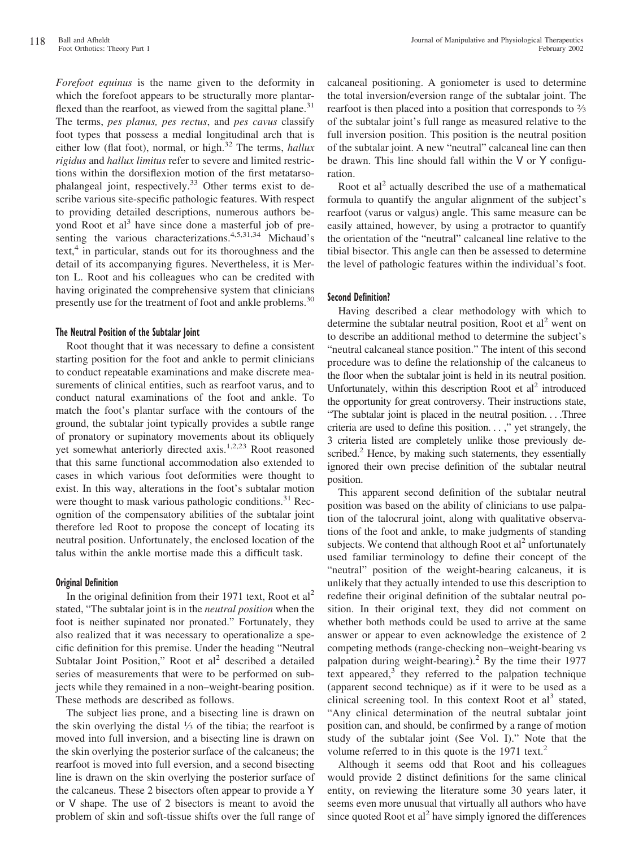*Forefoot equinus* is the name given to the deformity in which the forefoot appears to be structurally more plantarflexed than the rearfoot, as viewed from the sagittal plane. $31$ The terms, *pes planus, pes rectus*, and *pes cavus* classify foot types that possess a medial longitudinal arch that is either low (flat foot), normal, or high.<sup>32</sup> The terms, *hallux rigidus* and *hallux limitus* refer to severe and limited restrictions within the dorsiflexion motion of the first metatarsophalangeal joint, respectively.<sup>33</sup> Other terms exist to describe various site-specific pathologic features. With respect to providing detailed descriptions, numerous authors beyond Root et al<sup>3</sup> have since done a masterful job of presenting the various characterizations.<sup>4,5,31,34</sup> Michaud's text, $4$  in particular, stands out for its thoroughness and the detail of its accompanying figures. Nevertheless, it is Merton L. Root and his colleagues who can be credited with having originated the comprehensive system that clinicians presently use for the treatment of foot and ankle problems.<sup>30</sup>

## **The Neutral Position of the Subtalar Joint**

Root thought that it was necessary to define a consistent starting position for the foot and ankle to permit clinicians to conduct repeatable examinations and make discrete measurements of clinical entities, such as rearfoot varus, and to conduct natural examinations of the foot and ankle. To match the foot's plantar surface with the contours of the ground, the subtalar joint typically provides a subtle range of pronatory or supinatory movements about its obliquely yet somewhat anteriorly directed axis.<sup>1,2,23</sup> Root reasoned that this same functional accommodation also extended to cases in which various foot deformities were thought to exist. In this way, alterations in the foot's subtalar motion were thought to mask various pathologic conditions.<sup>31</sup> Recognition of the compensatory abilities of the subtalar joint therefore led Root to propose the concept of locating its neutral position. Unfortunately, the enclosed location of the talus within the ankle mortise made this a difficult task.

# **Original Definition**

In the original definition from their 1971 text, Root et  $al^2$ stated, "The subtalar joint is in the *neutral position* when the foot is neither supinated nor pronated." Fortunately, they also realized that it was necessary to operationalize a specific definition for this premise. Under the heading "Neutral Subtalar Joint Position," Root et al<sup>2</sup> described a detailed series of measurements that were to be performed on subjects while they remained in a non–weight-bearing position. These methods are described as follows.

The subject lies prone, and a bisecting line is drawn on the skin overlying the distal  $\frac{1}{3}$  of the tibia; the rearfoot is moved into full inversion, and a bisecting line is drawn on the skin overlying the posterior surface of the calcaneus; the rearfoot is moved into full eversion, and a second bisecting line is drawn on the skin overlying the posterior surface of the calcaneus. These 2 bisectors often appear to provide a Y or V shape. The use of 2 bisectors is meant to avoid the problem of skin and soft-tissue shifts over the full range of calcaneal positioning. A goniometer is used to determine the total inversion/eversion range of the subtalar joint. The rearfoot is then placed into a position that corresponds to  $\frac{2}{3}$ of the subtalar joint's full range as measured relative to the full inversion position. This position is the neutral position of the subtalar joint. A new "neutral" calcaneal line can then be drawn. This line should fall within the V or Y configuration.

Root et al<sup>2</sup> actually described the use of a mathematical formula to quantify the angular alignment of the subject's rearfoot (varus or valgus) angle. This same measure can be easily attained, however, by using a protractor to quantify the orientation of the "neutral" calcaneal line relative to the tibial bisector. This angle can then be assessed to determine the level of pathologic features within the individual's foot.

# **Second Definition?**

Having described a clear methodology with which to determine the subtalar neutral position, Root et  $al<sup>2</sup>$  went on to describe an additional method to determine the subject's "neutral calcaneal stance position." The intent of this second procedure was to define the relationship of the calcaneus to the floor when the subtalar joint is held in its neutral position. Unfortunately, within this description Root et  $al<sup>2</sup>$  introduced the opportunity for great controversy. Their instructions state, "The subtalar joint is placed in the neutral position. . . .Three criteria are used to define this position. . . ," yet strangely, the 3 criteria listed are completely unlike those previously described. $<sup>2</sup>$  Hence, by making such statements, they essentially</sup> ignored their own precise definition of the subtalar neutral position.

This apparent second definition of the subtalar neutral position was based on the ability of clinicians to use palpation of the talocrural joint, along with qualitative observations of the foot and ankle, to make judgments of standing subjects. We contend that although Root et  $al<sup>2</sup>$  unfortunately used familiar terminology to define their concept of the "neutral" position of the weight-bearing calcaneus, it is unlikely that they actually intended to use this description to redefine their original definition of the subtalar neutral position. In their original text, they did not comment on whether both methods could be used to arrive at the same answer or appear to even acknowledge the existence of 2 competing methods (range-checking non–weight-bearing vs palpation during weight-bearing).<sup>2</sup> By the time their 1977 text appeared, $3$  they referred to the palpation technique (apparent second technique) as if it were to be used as a clinical screening tool. In this context Root et  $al<sup>3</sup>$  stated, "Any clinical determination of the neutral subtalar joint position can, and should, be confirmed by a range of motion study of the subtalar joint (See Vol. I)." Note that the volume referred to in this quote is the  $1971 \text{ text.}^2$ 

Although it seems odd that Root and his colleagues would provide 2 distinct definitions for the same clinical entity, on reviewing the literature some 30 years later, it seems even more unusual that virtually all authors who have since quoted Root et al<sup>2</sup> have simply ignored the differences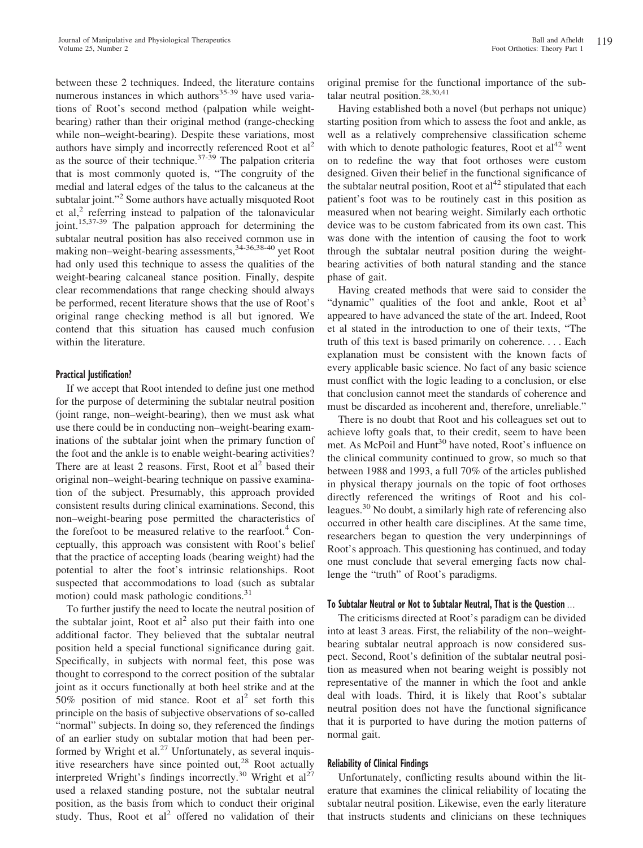between these 2 techniques. Indeed, the literature contains numerous instances in which authors $35-39$  have used variations of Root's second method (palpation while weightbearing) rather than their original method (range-checking while non–weight-bearing). Despite these variations, most authors have simply and incorrectly referenced Root et  $al<sup>2</sup>$ as the source of their technique. $37-39$  The palpation criteria that is most commonly quoted is, "The congruity of the medial and lateral edges of the talus to the calcaneus at the subtalar joint."<sup>2</sup> Some authors have actually misquoted Root et al,<sup>2</sup> referring instead to palpation of the talonavicular joint.15,37-39 The palpation approach for determining the subtalar neutral position has also received common use in making non-weight-bearing assessments,<sup>34-36,38-40</sup> yet Root had only used this technique to assess the qualities of the weight-bearing calcaneal stance position. Finally, despite clear recommendations that range checking should always be performed, recent literature shows that the use of Root's original range checking method is all but ignored. We contend that this situation has caused much confusion within the literature.

## **Practical Justification?**

If we accept that Root intended to define just one method for the purpose of determining the subtalar neutral position (joint range, non–weight-bearing), then we must ask what use there could be in conducting non–weight-bearing examinations of the subtalar joint when the primary function of the foot and the ankle is to enable weight-bearing activities? There are at least 2 reasons. First, Root et al<sup>2</sup> based their original non–weight-bearing technique on passive examination of the subject. Presumably, this approach provided consistent results during clinical examinations. Second, this non–weight-bearing pose permitted the characteristics of the forefoot to be measured relative to the rearfoot.<sup>4</sup> Conceptually, this approach was consistent with Root's belief that the practice of accepting loads (bearing weight) had the potential to alter the foot's intrinsic relationships. Root suspected that accommodations to load (such as subtalar motion) could mask pathologic conditions.<sup>31</sup>

To further justify the need to locate the neutral position of the subtalar joint, Root et  $al^2$  also put their faith into one additional factor. They believed that the subtalar neutral position held a special functional significance during gait. Specifically, in subjects with normal feet, this pose was thought to correspond to the correct position of the subtalar joint as it occurs functionally at both heel strike and at the 50% position of mid stance. Root et  $al^2$  set forth this principle on the basis of subjective observations of so-called "normal" subjects. In doing so, they referenced the findings of an earlier study on subtalar motion that had been performed by Wright et al.<sup>27</sup> Unfortunately, as several inquisitive researchers have since pointed out, $^{28}$  Root actually interpreted Wright's findings incorrectly.<sup>30</sup> Wright et al<sup>27</sup> used a relaxed standing posture, not the subtalar neutral position, as the basis from which to conduct their original study. Thus, Root et al<sup>2</sup> offered no validation of their original premise for the functional importance of the subtalar neutral position.<sup>28,30,41</sup>

Having established both a novel (but perhaps not unique) starting position from which to assess the foot and ankle, as well as a relatively comprehensive classification scheme with which to denote pathologic features, Root et  $al<sup>42</sup>$  went on to redefine the way that foot orthoses were custom designed. Given their belief in the functional significance of the subtalar neutral position, Root et  $al<sup>42</sup>$  stipulated that each patient's foot was to be routinely cast in this position as measured when not bearing weight. Similarly each orthotic device was to be custom fabricated from its own cast. This was done with the intention of causing the foot to work through the subtalar neutral position during the weightbearing activities of both natural standing and the stance phase of gait.

Having created methods that were said to consider the "dynamic" qualities of the foot and ankle, Root et al<sup>3</sup> appeared to have advanced the state of the art. Indeed, Root et al stated in the introduction to one of their texts, "The truth of this text is based primarily on coherence.... Each explanation must be consistent with the known facts of every applicable basic science. No fact of any basic science must conflict with the logic leading to a conclusion, or else that conclusion cannot meet the standards of coherence and must be discarded as incoherent and, therefore, unreliable."

There is no doubt that Root and his colleagues set out to achieve lofty goals that, to their credit, seem to have been met. As McPoil and Hunt<sup>30</sup> have noted, Root's influence on the clinical community continued to grow, so much so that between 1988 and 1993, a full 70% of the articles published in physical therapy journals on the topic of foot orthoses directly referenced the writings of Root and his colleagues.30 No doubt, a similarly high rate of referencing also occurred in other health care disciplines. At the same time, researchers began to question the very underpinnings of Root's approach. This questioning has continued, and today one must conclude that several emerging facts now challenge the "truth" of Root's paradigms.

#### **To Subtalar Neutral or Not to Subtalar Neutral, That is the Question** ...

The criticisms directed at Root's paradigm can be divided into at least 3 areas. First, the reliability of the non–weightbearing subtalar neutral approach is now considered suspect. Second, Root's definition of the subtalar neutral position as measured when not bearing weight is possibly not representative of the manner in which the foot and ankle deal with loads. Third, it is likely that Root's subtalar neutral position does not have the functional significance that it is purported to have during the motion patterns of normal gait.

#### **Reliability of Clinical Findings**

Unfortunately, conflicting results abound within the literature that examines the clinical reliability of locating the subtalar neutral position. Likewise, even the early literature that instructs students and clinicians on these techniques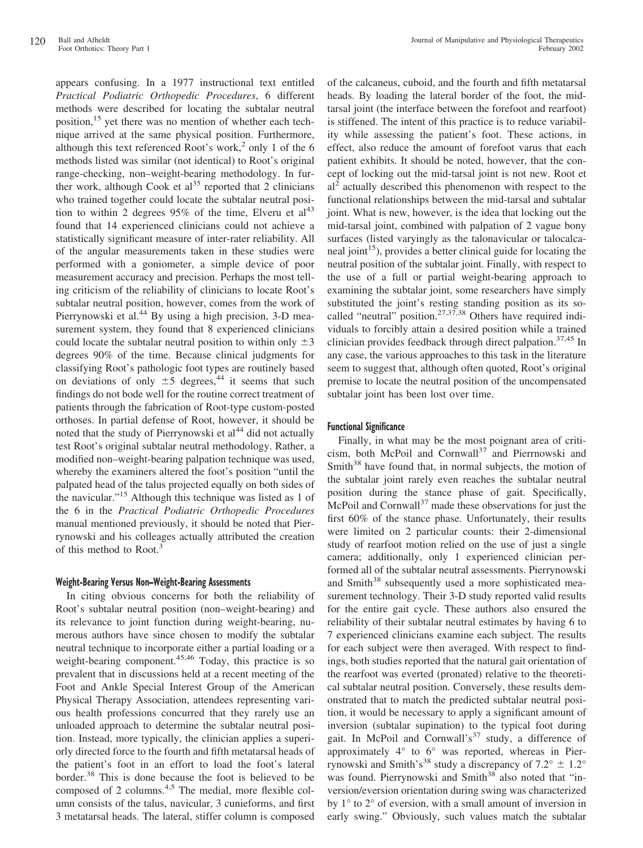appears confusing. In a 1977 instructional text entitled *Practical Podiatric Orthopedic Procedures*, 6 different methods were described for locating the subtalar neutral position,<sup>15</sup> yet there was no mention of whether each technique arrived at the same physical position. Furthermore, although this text referenced Root's work,<sup>2</sup> only 1 of the 6 methods listed was similar (not identical) to Root's original range-checking, non–weight-bearing methodology. In further work, although Cook et al<sup>35</sup> reported that 2 clinicians who trained together could locate the subtalar neutral position to within 2 degrees 95% of the time, Elveru et  $al<sup>43</sup>$ found that 14 experienced clinicians could not achieve a statistically significant measure of inter-rater reliability. All of the angular measurements taken in these studies were performed with a goniometer, a simple device of poor measurement accuracy and precision. Perhaps the most telling criticism of the reliability of clinicians to locate Root's subtalar neutral position, however, comes from the work of Pierrynowski et al.<sup>44</sup> By using a high precision, 3-D measurement system, they found that 8 experienced clinicians could locate the subtalar neutral position to within only  $\pm 3$ degrees 90% of the time. Because clinical judgments for classifying Root's pathologic foot types are routinely based on deviations of only  $\pm 5$  degrees,<sup>44</sup> it seems that such findings do not bode well for the routine correct treatment of patients through the fabrication of Root-type custom-posted orthoses. In partial defense of Root, however, it should be noted that the study of Pierrynowski et  $al<sup>44</sup>$  did not actually test Root's original subtalar neutral methodology. Rather, a modified non–weight-bearing palpation technique was used, whereby the examiners altered the foot's position "until the palpated head of the talus projected equally on both sides of the navicular."15 Although this technique was listed as 1 of the 6 in the *Practical Podiatric Orthopedic Procedures* manual mentioned previously, it should be noted that Pierrynowski and his colleages actually attributed the creation of this method to Root.<sup>3</sup>

# **Weight-Bearing Versus Non–Weight-Bearing Assessments**

In citing obvious concerns for both the reliability of Root's subtalar neutral position (non–weight-bearing) and its relevance to joint function during weight-bearing, numerous authors have since chosen to modify the subtalar neutral technique to incorporate either a partial loading or a weight-bearing component.<sup>45,46</sup> Today, this practice is so prevalent that in discussions held at a recent meeting of the Foot and Ankle Special Interest Group of the American Physical Therapy Association, attendees representing various health professions concurred that they rarely use an unloaded approach to determine the subtalar neutral position. Instead, more typically, the clinician applies a superiorly directed force to the fourth and fifth metatarsal heads of the patient's foot in an effort to load the foot's lateral border.<sup>38</sup> This is done because the foot is believed to be composed of 2 columns.<sup>4,5</sup> The medial, more flexible column consists of the talus, navicular, 3 cunieforms, and first 3 metatarsal heads. The lateral, stiffer column is composed

of the calcaneus, cuboid, and the fourth and fifth metatarsal heads. By loading the lateral border of the foot, the midtarsal joint (the interface between the forefoot and rearfoot) is stiffened. The intent of this practice is to reduce variability while assessing the patient's foot. These actions, in effect, also reduce the amount of forefoot varus that each patient exhibits. It should be noted, however, that the concept of locking out the mid-tarsal joint is not new. Root et  $al<sup>2</sup>$  actually described this phenomenon with respect to the functional relationships between the mid-tarsal and subtalar joint. What is new, however, is the idea that locking out the mid-tarsal joint, combined with palpation of 2 vague bony surfaces (listed varyingly as the talonavicular or talocalcaneal joint<sup>15</sup>), provides a better clinical guide for locating the neutral position of the subtalar joint. Finally, with respect to the use of a full or partial weight-bearing approach to examining the subtalar joint, some researchers have simply substituted the joint's resting standing position as its socalled "neutral" position.<sup>27,37,38</sup> Others have required individuals to forcibly attain a desired position while a trained clinician provides feedback through direct palpation. $37,45$  In any case, the various approaches to this task in the literature seem to suggest that, although often quoted, Root's original premise to locate the neutral position of the uncompensated subtalar joint has been lost over time.

# **Functional Significance**

Finally, in what may be the most poignant area of criticism, both McPoil and Cornwall<sup>37</sup> and Pierrnowski and Smith $38$  have found that, in normal subjects, the motion of the subtalar joint rarely even reaches the subtalar neutral position during the stance phase of gait. Specifically, McPoil and Cornwall $^{37}$  made these observations for just the first 60% of the stance phase. Unfortunately, their results were limited on 2 particular counts: their 2-dimensional study of rearfoot motion relied on the use of just a single camera; additionally, only 1 experienced clinician performed all of the subtalar neutral assessments. Pierrynowski and Smith<sup>38</sup> subsequently used a more sophisticated measurement technology. Their 3-D study reported valid results for the entire gait cycle. These authors also ensured the reliability of their subtalar neutral estimates by having 6 to 7 experienced clinicians examine each subject. The results for each subject were then averaged. With respect to findings, both studies reported that the natural gait orientation of the rearfoot was everted (pronated) relative to the theoretical subtalar neutral position. Conversely, these results demonstrated that to match the predicted subtalar neutral position, it would be necessary to apply a significant amount of inversion (subtalar supination) to the typical foot during gait. In McPoil and Cornwall's<sup>37</sup> study, a difference of approximately 4° to 6° was reported, whereas in Pierrynowski and Smith's<sup>38</sup> study a discrepancy of  $7.2^{\circ} \pm 1.2^{\circ}$ was found. Pierrynowski and Smith<sup>38</sup> also noted that "inversion/eversion orientation during swing was characterized by 1° to 2° of eversion, with a small amount of inversion in early swing." Obviously, such values match the subtalar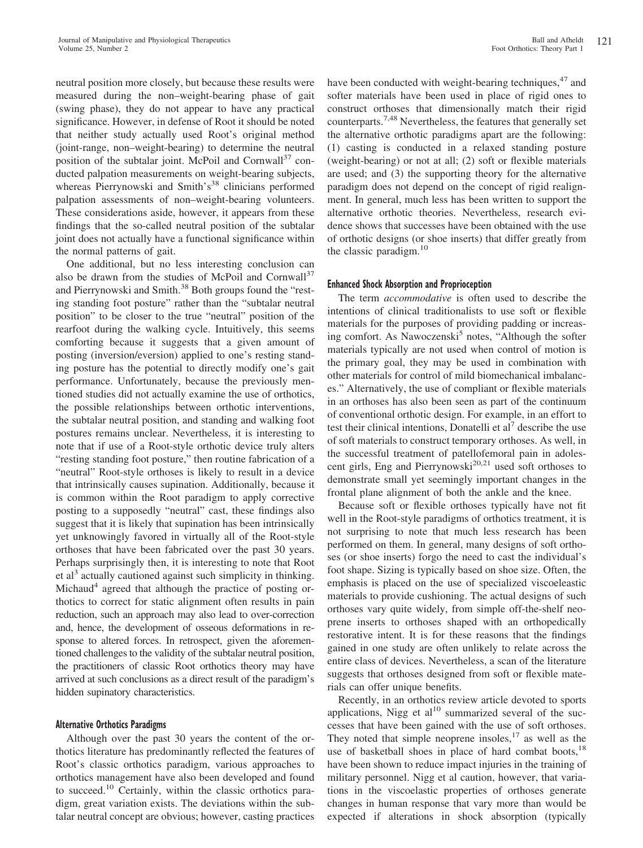neutral position more closely, but because these results were measured during the non–weight-bearing phase of gait (swing phase), they do not appear to have any practical significance. However, in defense of Root it should be noted that neither study actually used Root's original method (joint-range, non–weight-bearing) to determine the neutral position of the subtalar joint. McPoil and Cornwall<sup>37</sup> conducted palpation measurements on weight-bearing subjects, whereas Pierrynowski and Smith's<sup>38</sup> clinicians performed palpation assessments of non–weight-bearing volunteers. These considerations aside, however, it appears from these findings that the so-called neutral position of the subtalar joint does not actually have a functional significance within the normal patterns of gait.

One additional, but no less interesting conclusion can also be drawn from the studies of McPoil and Cornwall<sup>37</sup> and Pierrynowski and Smith.<sup>38</sup> Both groups found the "resting standing foot posture" rather than the "subtalar neutral position" to be closer to the true "neutral" position of the rearfoot during the walking cycle. Intuitively, this seems comforting because it suggests that a given amount of posting (inversion/eversion) applied to one's resting standing posture has the potential to directly modify one's gait performance. Unfortunately, because the previously mentioned studies did not actually examine the use of orthotics, the possible relationships between orthotic interventions, the subtalar neutral position, and standing and walking foot postures remains unclear. Nevertheless, it is interesting to note that if use of a Root-style orthotic device truly alters "resting standing foot posture," then routine fabrication of a "neutral" Root-style orthoses is likely to result in a device that intrinsically causes supination. Additionally, because it is common within the Root paradigm to apply corrective posting to a supposedly "neutral" cast, these findings also suggest that it is likely that supination has been intrinsically yet unknowingly favored in virtually all of the Root-style orthoses that have been fabricated over the past 30 years. Perhaps surprisingly then, it is interesting to note that Root et al<sup>3</sup> actually cautioned against such simplicity in thinking. Michaud $4$  agreed that although the practice of posting orthotics to correct for static alignment often results in pain reduction, such an approach may also lead to over-correction and, hence, the development of osseous deformations in response to altered forces. In retrospect, given the aforementioned challenges to the validity of the subtalar neutral position, the practitioners of classic Root orthotics theory may have arrived at such conclusions as a direct result of the paradigm's hidden supinatory characteristics.

#### **Alternative Orthotics Paradigms**

Although over the past 30 years the content of the orthotics literature has predominantly reflected the features of Root's classic orthotics paradigm, various approaches to orthotics management have also been developed and found to succeed.<sup>10</sup> Certainly, within the classic orthotics paradigm, great variation exists. The deviations within the subtalar neutral concept are obvious; however, casting practices have been conducted with weight-bearing techniques,<sup>47</sup> and softer materials have been used in place of rigid ones to construct orthoses that dimensionally match their rigid counterparts.<sup>7,48</sup> Nevertheless, the features that generally set the alternative orthotic paradigms apart are the following: (1) casting is conducted in a relaxed standing posture (weight-bearing) or not at all; (2) soft or flexible materials are used; and (3) the supporting theory for the alternative paradigm does not depend on the concept of rigid realignment. In general, much less has been written to support the alternative orthotic theories. Nevertheless, research evidence shows that successes have been obtained with the use of orthotic designs (or shoe inserts) that differ greatly from the classic paradigm.<sup>10</sup>

#### **Enhanced Shock Absorption and Proprioception**

The term *accommodative* is often used to describe the intentions of clinical traditionalists to use soft or flexible materials for the purposes of providing padding or increasing comfort. As Nawoczenski<sup>5</sup> notes, "Although the softer materials typically are not used when control of motion is the primary goal, they may be used in combination with other materials for control of mild biomechanical imbalances." Alternatively, the use of compliant or flexible materials in an orthoses has also been seen as part of the continuum of conventional orthotic design. For example, in an effort to test their clinical intentions, Donatelli et al' describe the use of soft materials to construct temporary orthoses. As well, in the successful treatment of patellofemoral pain in adolescent girls, Eng and Pierrynowski<sup>20,21</sup> used soft orthoses to demonstrate small yet seemingly important changes in the frontal plane alignment of both the ankle and the knee.

Because soft or flexible orthoses typically have not fit well in the Root-style paradigms of orthotics treatment, it is not surprising to note that much less research has been performed on them. In general, many designs of soft orthoses (or shoe inserts) forgo the need to cast the individual's foot shape. Sizing is typically based on shoe size. Often, the emphasis is placed on the use of specialized viscoeleastic materials to provide cushioning. The actual designs of such orthoses vary quite widely, from simple off-the-shelf neoprene inserts to orthoses shaped with an orthopedically restorative intent. It is for these reasons that the findings gained in one study are often unlikely to relate across the entire class of devices. Nevertheless, a scan of the literature suggests that orthoses designed from soft or flexible materials can offer unique benefits.

Recently, in an orthotics review article devoted to sports applications, Nigg et  $al^{10}$  summarized several of the successes that have been gained with the use of soft orthoses. They noted that simple neoprene insoles, $17$  as well as the use of basketball shoes in place of hard combat boots,<sup>18</sup> have been shown to reduce impact injuries in the training of military personnel. Nigg et al caution, however, that variations in the viscoelastic properties of orthoses generate changes in human response that vary more than would be expected if alterations in shock absorption (typically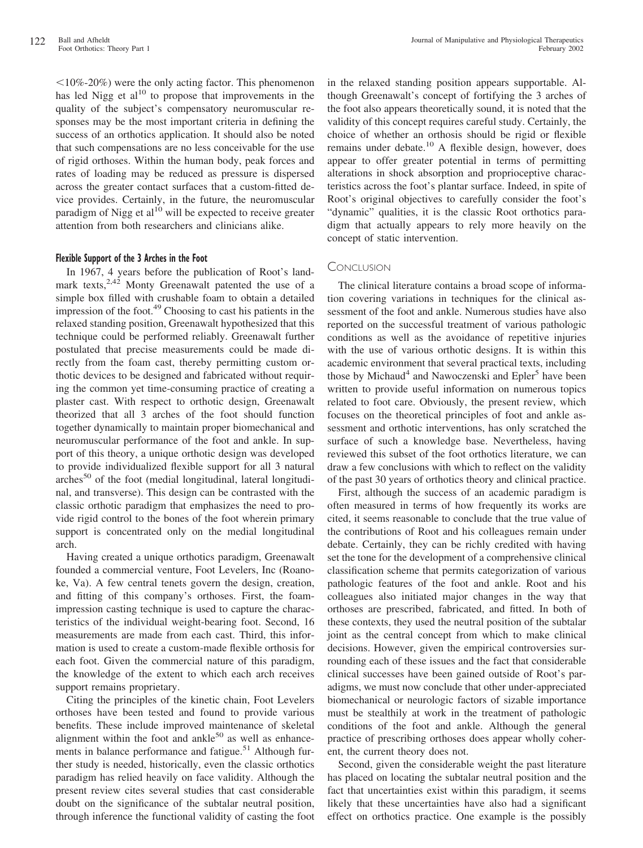$10\% - 20\%$ ) were the only acting factor. This phenomenon has led Nigg et  $al<sup>10</sup>$  to propose that improvements in the quality of the subject's compensatory neuromuscular responses may be the most important criteria in defining the success of an orthotics application. It should also be noted that such compensations are no less conceivable for the use of rigid orthoses. Within the human body, peak forces and rates of loading may be reduced as pressure is dispersed across the greater contact surfaces that a custom-fitted device provides. Certainly, in the future, the neuromuscular paradigm of Nigg et al<sup>10</sup> will be expected to receive greater attention from both researchers and clinicians alike.

#### **Flexible Support of the 3 Arches in the Foot**

In 1967, 4 years before the publication of Root's landmark texts,  $2.42$  Monty Greenawalt patented the use of a simple box filled with crushable foam to obtain a detailed impression of the foot. $49$  Choosing to cast his patients in the relaxed standing position, Greenawalt hypothesized that this technique could be performed reliably. Greenawalt further postulated that precise measurements could be made directly from the foam cast, thereby permitting custom orthotic devices to be designed and fabricated without requiring the common yet time-consuming practice of creating a plaster cast. With respect to orthotic design, Greenawalt theorized that all 3 arches of the foot should function together dynamically to maintain proper biomechanical and neuromuscular performance of the foot and ankle. In support of this theory, a unique orthotic design was developed to provide individualized flexible support for all 3 natural arches<sup>50</sup> of the foot (medial longitudinal, lateral longitudinal, and transverse). This design can be contrasted with the classic orthotic paradigm that emphasizes the need to provide rigid control to the bones of the foot wherein primary support is concentrated only on the medial longitudinal arch.

Having created a unique orthotics paradigm, Greenawalt founded a commercial venture, Foot Levelers, Inc (Roanoke, Va). A few central tenets govern the design, creation, and fitting of this company's orthoses. First, the foamimpression casting technique is used to capture the characteristics of the individual weight-bearing foot. Second, 16 measurements are made from each cast. Third, this information is used to create a custom-made flexible orthosis for each foot. Given the commercial nature of this paradigm, the knowledge of the extent to which each arch receives support remains proprietary.

Citing the principles of the kinetic chain, Foot Levelers orthoses have been tested and found to provide various benefits. These include improved maintenance of skeletal alignment within the foot and ankle $50$  as well as enhancements in balance performance and fatigue.<sup>51</sup> Although further study is needed, historically, even the classic orthotics paradigm has relied heavily on face validity. Although the present review cites several studies that cast considerable doubt on the significance of the subtalar neutral position, through inference the functional validity of casting the foot in the relaxed standing position appears supportable. Although Greenawalt's concept of fortifying the 3 arches of the foot also appears theoretically sound, it is noted that the validity of this concept requires careful study. Certainly, the choice of whether an orthosis should be rigid or flexible remains under debate.<sup>10</sup> A flexible design, however, does appear to offer greater potential in terms of permitting alterations in shock absorption and proprioceptive characteristics across the foot's plantar surface. Indeed, in spite of Root's original objectives to carefully consider the foot's "dynamic" qualities, it is the classic Root orthotics paradigm that actually appears to rely more heavily on the concept of static intervention.

## **CONCLUSION**

The clinical literature contains a broad scope of information covering variations in techniques for the clinical assessment of the foot and ankle. Numerous studies have also reported on the successful treatment of various pathologic conditions as well as the avoidance of repetitive injuries with the use of various orthotic designs. It is within this academic environment that several practical texts, including those by Michaud<sup>4</sup> and Nawoczenski and Epler<sup>5</sup> have been written to provide useful information on numerous topics related to foot care. Obviously, the present review, which focuses on the theoretical principles of foot and ankle assessment and orthotic interventions, has only scratched the surface of such a knowledge base. Nevertheless, having reviewed this subset of the foot orthotics literature, we can draw a few conclusions with which to reflect on the validity of the past 30 years of orthotics theory and clinical practice.

First, although the success of an academic paradigm is often measured in terms of how frequently its works are cited, it seems reasonable to conclude that the true value of the contributions of Root and his colleagues remain under debate. Certainly, they can be richly credited with having set the tone for the development of a comprehensive clinical classification scheme that permits categorization of various pathologic features of the foot and ankle. Root and his colleagues also initiated major changes in the way that orthoses are prescribed, fabricated, and fitted. In both of these contexts, they used the neutral position of the subtalar joint as the central concept from which to make clinical decisions. However, given the empirical controversies surrounding each of these issues and the fact that considerable clinical successes have been gained outside of Root's paradigms, we must now conclude that other under-appreciated biomechanical or neurologic factors of sizable importance must be stealthily at work in the treatment of pathologic conditions of the foot and ankle. Although the general practice of prescribing orthoses does appear wholly coherent, the current theory does not.

Second, given the considerable weight the past literature has placed on locating the subtalar neutral position and the fact that uncertainties exist within this paradigm, it seems likely that these uncertainties have also had a significant effect on orthotics practice. One example is the possibly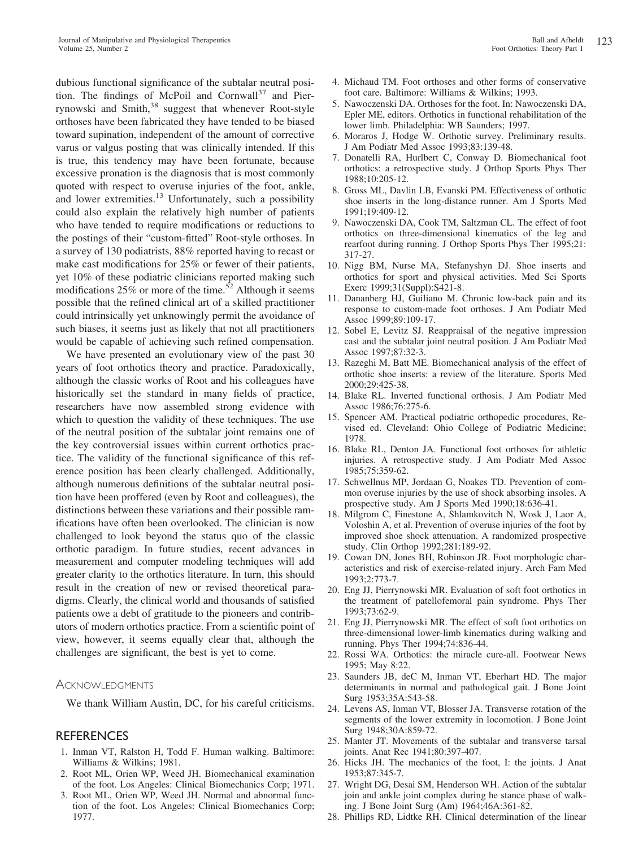dubious functional significance of the subtalar neutral position. The findings of McPoil and Cornwall<sup>37</sup> and Pierrynowski and Smith,<sup>38</sup> suggest that whenever Root-style orthoses have been fabricated they have tended to be biased toward supination, independent of the amount of corrective varus or valgus posting that was clinically intended. If this is true, this tendency may have been fortunate, because excessive pronation is the diagnosis that is most commonly quoted with respect to overuse injuries of the foot, ankle, and lower extremities.<sup>13</sup> Unfortunately, such a possibility could also explain the relatively high number of patients who have tended to require modifications or reductions to the postings of their "custom-fitted" Root-style orthoses. In a survey of 130 podiatrists, 88% reported having to recast or make cast modifications for 25% or fewer of their patients, yet 10% of these podiatric clinicians reported making such modifications  $25\%$  or more of the time.<sup>52</sup> Although it seems possible that the refined clinical art of a skilled practitioner could intrinsically yet unknowingly permit the avoidance of such biases, it seems just as likely that not all practitioners would be capable of achieving such refined compensation.

We have presented an evolutionary view of the past 30 years of foot orthotics theory and practice. Paradoxically, although the classic works of Root and his colleagues have historically set the standard in many fields of practice, researchers have now assembled strong evidence with which to question the validity of these techniques. The use of the neutral position of the subtalar joint remains one of the key controversial issues within current orthotics practice. The validity of the functional significance of this reference position has been clearly challenged. Additionally, although numerous definitions of the subtalar neutral position have been proffered (even by Root and colleagues), the distinctions between these variations and their possible ramifications have often been overlooked. The clinician is now challenged to look beyond the status quo of the classic orthotic paradigm. In future studies, recent advances in measurement and computer modeling techniques will add greater clarity to the orthotics literature. In turn, this should result in the creation of new or revised theoretical paradigms. Clearly, the clinical world and thousands of satisfied patients owe a debt of gratitude to the pioneers and contributors of modern orthotics practice. From a scientific point of view, however, it seems equally clear that, although the challenges are significant, the best is yet to come.

#### ACKNOWLEDGMENTS

We thank William Austin, DC, for his careful criticisms.

# REFERENCES

- 1. Inman VT, Ralston H, Todd F. Human walking. Baltimore: Williams & Wilkins; 1981.
- 2. Root ML, Orien WP, Weed JH. Biomechanical examination of the foot. Los Angeles: Clinical Biomechanics Corp; 1971.
- 3. Root ML, Orien WP, Weed JH. Normal and abnormal function of the foot. Los Angeles: Clinical Biomechanics Corp; 1977.
- 4. Michaud TM. Foot orthoses and other forms of conservative foot care. Baltimore: Williams & Wilkins; 1993.
- 5. Nawoczenski DA. Orthoses for the foot. In: Nawoczenski DA, Epler ME, editors. Orthotics in functional rehabilitation of the lower limb. Philadelphia: WB Saunders; 1997.
- 6. Moraros J, Hodge W. Orthotic survey. Preliminary results. J Am Podiatr Med Assoc 1993;83:139-48.
- 7. Donatelli RA, Hurlbert C, Conway D. Biomechanical foot orthotics: a retrospective study. J Orthop Sports Phys Ther 1988;10:205-12.
- 8. Gross ML, Davlin LB, Evanski PM. Effectiveness of orthotic shoe inserts in the long-distance runner. Am J Sports Med 1991;19:409-12.
- 9. Nawoczenski DA, Cook TM, Saltzman CL. The effect of foot orthotics on three-dimensional kinematics of the leg and rearfoot during running. J Orthop Sports Phys Ther 1995;21: 317-27.
- 10. Nigg BM, Nurse MA, Stefanyshyn DJ. Shoe inserts and orthotics for sport and physical activities. Med Sci Sports Exerc 1999;31(Suppl):S421-8.
- 11. Dananberg HJ, Guiliano M. Chronic low-back pain and its response to custom-made foot orthoses. J Am Podiatr Med Assoc 1999;89:109-17.
- 12. Sobel E, Levitz SJ. Reappraisal of the negative impression cast and the subtalar joint neutral position. J Am Podiatr Med Assoc 1997;87:32-3.
- 13. Razeghi M, Batt ME. Biomechanical analysis of the effect of orthotic shoe inserts: a review of the literature. Sports Med 2000;29:425-38.
- 14. Blake RL. Inverted functional orthosis. J Am Podiatr Med Assoc 1986;76:275-6.
- 15. Spencer AM. Practical podiatric orthopedic procedures, Revised ed. Cleveland: Ohio College of Podiatric Medicine; 1978.
- 16. Blake RL, Denton JA. Functional foot orthoses for athletic injuries. A retrospective study. J Am Podiatr Med Assoc 1985;75:359-62.
- 17. Schwellnus MP, Jordaan G, Noakes TD. Prevention of common overuse injuries by the use of shock absorbing insoles. A prospective study. Am J Sports Med 1990;18:636-41.
- 18. Milgrom C, Finestone A, Shlamkovitch N, Wosk J, Laor A, Voloshin A, et al. Prevention of overuse injuries of the foot by improved shoe shock attenuation. A randomized prospective study. Clin Orthop 1992;281:189-92.
- 19. Cowan DN, Jones BH, Robinson JR. Foot morphologic characteristics and risk of exercise-related injury. Arch Fam Med 1993;2:773-7.
- 20. Eng JJ, Pierrynowski MR. Evaluation of soft foot orthotics in the treatment of patellofemoral pain syndrome. Phys Ther 1993;73:62-9.
- 21. Eng JJ, Pierrynowski MR. The effect of soft foot orthotics on three-dimensional lower-limb kinematics during walking and running. Phys Ther 1994;74:836-44.
- 22. Rossi WA. Orthotics: the miracle cure-all. Footwear News 1995; May 8:22.
- 23. Saunders JB, deC M, Inman VT, Eberhart HD. The major determinants in normal and pathological gait. J Bone Joint Surg 1953;35A:543-58.
- 24. Levens AS, Inman VT, Blosser JA. Transverse rotation of the segments of the lower extremity in locomotion. J Bone Joint Surg 1948;30A:859-72.
- 25. Manter JT. Movements of the subtalar and transverse tarsal joints. Anat Rec 1941;80:397-407.
- 26. Hicks JH. The mechanics of the foot, I: the joints. J Anat 1953;87:345-7.
- 27. Wright DG, Desai SM, Henderson WH. Action of the subtalar join and ankle joint complex during he stance phase of walking. J Bone Joint Surg (Am) 1964;46A:361-82.
- 28. Phillips RD, Lidtke RH. Clinical determination of the linear